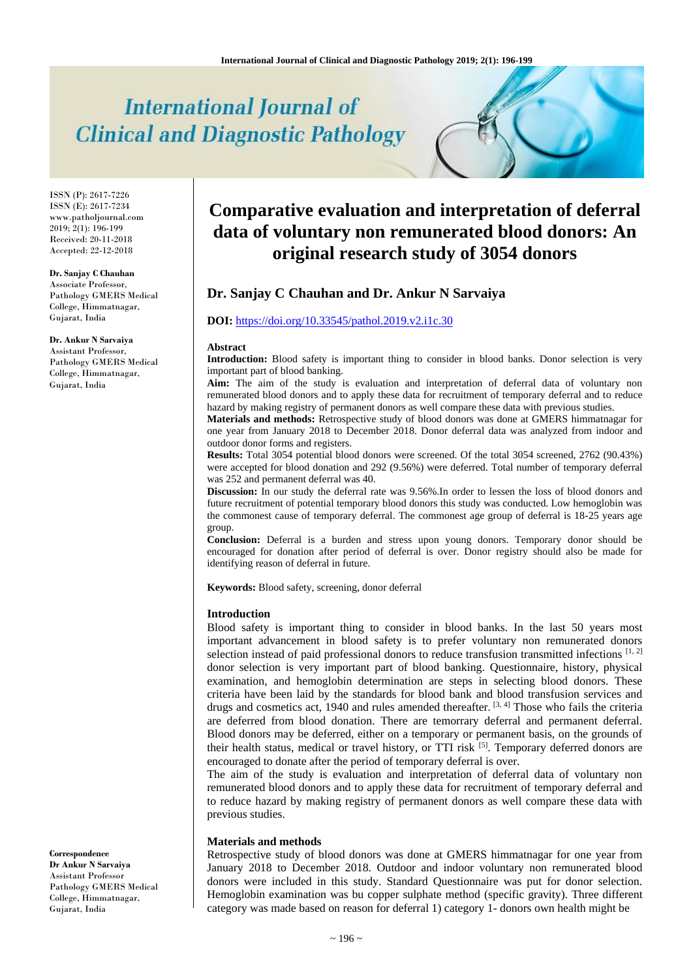# **International Journal of Clinical and Diagnostic Pathology**

ISSN (P): 2617-7226 ISSN (E): 2617-7234 www.patholjournal.com  $2019$ ;  $2(1)$ : 196-199 Received: 20-11-2018 Accepted: 22-12-2018

#### **Dr. Sanjay C Chauhan**

Associate Professor, Pathology GMERS Medical College, Himmatnagar, Gujarat, India

**Dr. Ankur N Sarvaiya** Assistant Professor, Pathology GMERS Medical College, Himmatnagar, Gujarat, India

#### **Correspondence Dr Ankur N Sarvaiya**

Assistant Professor Pathology GMERS Medical College, Himmatnagar, Gujarat, India

# **Comparative evaluation and interpretation of deferral data of voluntary non remunerated blood donors: An original research study of 3054 donors**

# **Dr. Sanjay C Chauhan and Dr. Ankur N Sarvaiya**

### **DOI:** <https://doi.org/10.33545/pathol.2019.v2.i1c.30>

#### **Abstract**

**Introduction:** Blood safety is important thing to consider in blood banks. Donor selection is very important part of blood banking.

**Aim:** The aim of the study is evaluation and interpretation of deferral data of voluntary non remunerated blood donors and to apply these data for recruitment of temporary deferral and to reduce hazard by making registry of permanent donors as well compare these data with previous studies.

**Materials and methods:** Retrospective study of blood donors was done at GMERS himmatnagar for one year from January 2018 to December 2018. Donor deferral data was analyzed from indoor and outdoor donor forms and registers.

**Results:** Total 3054 potential blood donors were screened. Of the total 3054 screened, 2762 (90.43%) were accepted for blood donation and 292 (9.56%) were deferred. Total number of temporary deferral was 252 and permanent deferral was 40.

**Discussion:** In our study the deferral rate was 9.56%.In order to lessen the loss of blood donors and future recruitment of potential temporary blood donors this study was conducted. Low hemoglobin was the commonest cause of temporary deferral. The commonest age group of deferral is 18-25 years age group.

**Conclusion:** Deferral is a burden and stress upon young donors. Temporary donor should be encouraged for donation after period of deferral is over. Donor registry should also be made for identifying reason of deferral in future.

**Keywords:** Blood safety, screening, donor deferral

#### **Introduction**

Blood safety is important thing to consider in blood banks. In the last 50 years most important advancement in blood safety is to prefer voluntary non remunerated donors selection instead of paid professional donors to reduce transfusion transmitted infections [1, 2] donor selection is very important part of blood banking. Questionnaire, history, physical examination, and hemoglobin determination are steps in selecting blood donors. These criteria have been laid by the standards for blood bank and blood transfusion services and drugs and cosmetics act, 1940 and rules amended thereafter.  $[3, 4]$  Those who fails the criteria are deferred from blood donation. There are temorrary deferral and permanent deferral. Blood donors may be deferred, either on a temporary or permanent basis, on the grounds of their health status, medical or travel history, or TTI risk  $[5]$ . Temporary deferred donors are encouraged to donate after the period of temporary deferral is over.

The aim of the study is evaluation and interpretation of deferral data of voluntary non remunerated blood donors and to apply these data for recruitment of temporary deferral and to reduce hazard by making registry of permanent donors as well compare these data with previous studies.

#### **Materials and methods**

Retrospective study of blood donors was done at GMERS himmatnagar for one year from January 2018 to December 2018. Outdoor and indoor voluntary non remunerated blood donors were included in this study. Standard Questionnaire was put for donor selection. Hemoglobin examination was bu copper sulphate method (specific gravity). Three different category was made based on reason for deferral 1) category 1- donors own health might be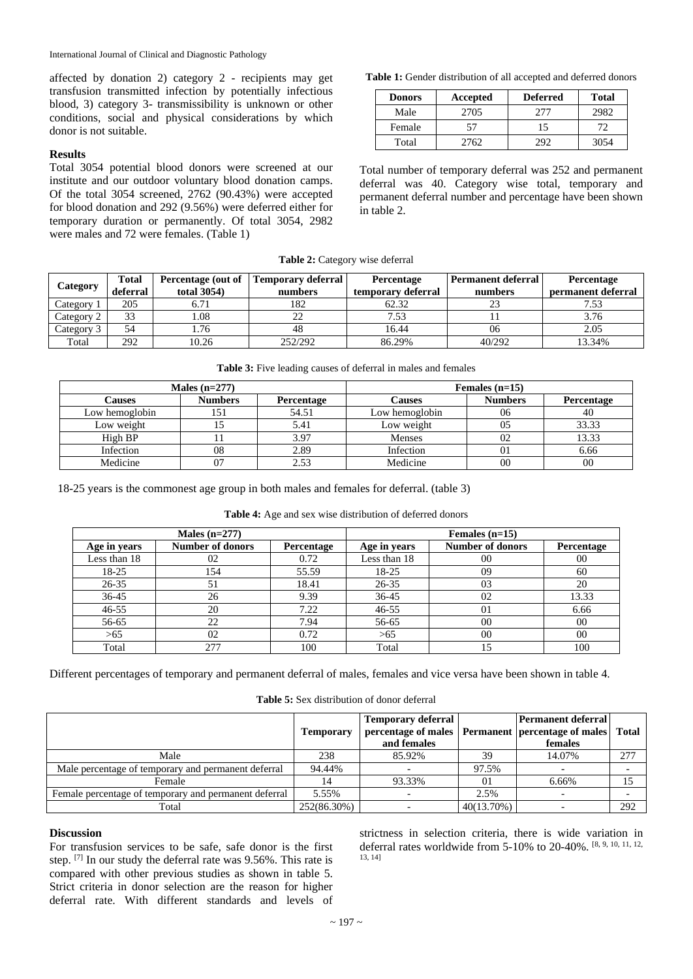affected by donation 2) category 2 - recipients may get transfusion transmitted infection by potentially infectious blood, 3) category 3- transmissibility is unknown or other conditions, social and physical considerations by which donor is not suitable.

# **Results**

Total 3054 potential blood donors were screened at our institute and our outdoor voluntary blood donation camps. Of the total 3054 screened, 2762 (90.43%) were accepted for blood donation and 292 (9.56%) were deferred either for temporary duration or permanently. Of total 3054, 2982 were males and 72 were females. (Table 1)

**Table 1:** Gender distribution of all accepted and deferred donors

| <b>Donors</b> | Accepted | <b>Deferred</b> | Total |
|---------------|----------|-----------------|-------|
| Male          | 2705     | 277             | 2982  |
| Female        | 57       | 15              | 72    |
| Total         | 2762.    | מפ              | 3054  |

Total number of temporary deferral was 252 and permanent deferral was 40. Category wise total, temporary and permanent deferral number and percentage have been shown in table 2.

|  | Table 2: Category wise deferral |  |  |
|--|---------------------------------|--|--|
|--|---------------------------------|--|--|

| Category   | Total    | Percentage (out of | Temporary deferral | <b>Percentage</b>  | Permanent deferral | Percentage         |
|------------|----------|--------------------|--------------------|--------------------|--------------------|--------------------|
|            | deferral | total 3054)        | numbers            | temporary deferral | numbers            | permanent deferral |
| Category 1 | 205      | 6.71               | 182                | 62.32              |                    | 7.53               |
| Category 2 | 33       | 1.08               | 22                 | 7.53               |                    | 3.76               |
| Category 3 | 54       | .76                | 48                 | 16.44              | 06                 | 2.05               |
| Total      | 292      | 10.26              | 252/292            | 86.29%             | 40/292             | 13.34%             |

| Males $(n=277)$ |                |                   | Females $(n=15)$ |                |                   |
|-----------------|----------------|-------------------|------------------|----------------|-------------------|
| Causes          | <b>Numbers</b> | <b>Percentage</b> | Causes           | <b>Numbers</b> | <b>Percentage</b> |
| Low hemoglobin  | 151            | 54.51             | Low hemoglobin   | 06             | 40                |
| Low weight      |                | 5.41              | Low weight       | 05             | 33.33             |
| High BP         |                | 3.97              | <b>Menses</b>    | 02             | 13.33             |
| Infection       | 08             | 2.89              | Infection        | 01             | 6.66              |
| Medicine        | 07             | 2.53              | Medicine         | 00             | 00                |

18-25 years is the commonest age group in both males and females for deferral. (table 3)

**Table 4:** Age and sex wise distribution of deferred donors

| Males $(n=277)$ |                         |                   | Females $(n=15)$ |                         |                |  |
|-----------------|-------------------------|-------------------|------------------|-------------------------|----------------|--|
| Age in years    | <b>Number of donors</b> | <b>Percentage</b> | Age in years     | <b>Number of donors</b> | Percentage     |  |
| Less than 18    | 02                      | 0.72              | Less than 18     | 00                      | 00             |  |
| 18-25           | 154                     | 55.59             | 18-25            | 09                      | 60             |  |
| $26 - 35$       | 51                      | 18.41             | 26-35            | 03                      | 20             |  |
| $36 - 45$       | 26                      | 9.39              | $36 - 45$        | 02                      | 13.33          |  |
| $46 - 55$       | 20                      | 7.22              | $46 - 55$        | 01                      | 6.66           |  |
| 56-65           | 22                      | 7.94              | 56-65            | 0 <sup>0</sup>          | 00             |  |
| >65             | 02                      | 0.72              | >65              | 0 <sup>0</sup>          | 0 <sup>0</sup> |  |
| Total           | 277                     | 100               | Total            |                         | 100            |  |

Different percentages of temporary and permanent deferral of males, females and vice versa have been shown in table 4.

| <b>Table 5:</b> Sex distribution of donor deferral |  |  |  |
|----------------------------------------------------|--|--|--|
|----------------------------------------------------|--|--|--|

|                                                       | <b>Temporary</b> | <b>Temporary deferral</b><br>percentage of males   Permanent   percentage of males   Total<br>and females |               | <b>Permanent deferral</b><br>females |     |
|-------------------------------------------------------|------------------|-----------------------------------------------------------------------------------------------------------|---------------|--------------------------------------|-----|
| Male                                                  | 238              | 85.92%                                                                                                    | 39            | 14.07%                               | 277 |
| Male percentage of temporary and permanent deferral   | 94.44%           |                                                                                                           | 97.5%         |                                      |     |
| Female                                                |                  | 93.33%                                                                                                    | $\Omega$      | 6.66%                                |     |
| Female percentage of temporary and permanent deferral | 5.55%            |                                                                                                           | 2.5%          |                                      |     |
| Total                                                 | 252(86.30%)      |                                                                                                           | $40(13.70\%)$ |                                      | 292 |

# **Discussion**

For transfusion services to be safe, safe donor is the first step. [7] In our study the deferral rate was 9.56%. This rate is compared with other previous studies as shown in table 5. Strict criteria in donor selection are the reason for higher deferral rate. With different standards and levels of

strictness in selection criteria, there is wide variation in deferral rates worldwide from 5-10% to 20-40%. [8, 9, 10, 11, 12, 13, 14]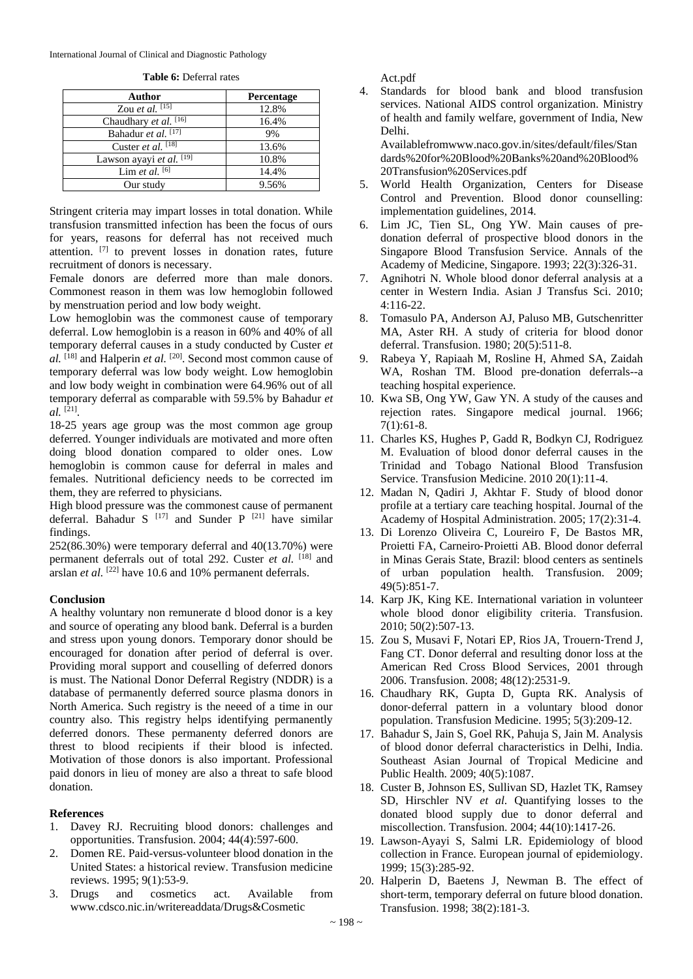| <b>Table 6:</b> Deferral rates |  |
|--------------------------------|--|
|--------------------------------|--|

| Author                   | Percentage |
|--------------------------|------------|
| Zou et al. $[15]$        | 12.8%      |
| Chaudhary et al. [16]    | 16.4%      |
| Bahadur et al. [17]      | 9%         |
| Custer et al. [18]       | 13.6%      |
| Lawson ayayi et al. [19] | 10.8%      |
| Lim et al. $[6]$         | 14.4%      |
| Our study                | 9.56%      |

Stringent criteria may impart losses in total donation. While transfusion transmitted infection has been the focus of ours for years, reasons for deferral has not received much attention. [7] to prevent losses in donation rates, future recruitment of donors is necessary.

Female donors are deferred more than male donors. Commonest reason in them was low hemoglobin followed by menstruation period and low body weight.

Low hemoglobin was the commonest cause of temporary deferral. Low hemoglobin is a reason in 60% and 40% of all temporary deferral causes in a study conducted by Custer *et al.* [18] and Halperin *et al.* [20]. Second most common cause of temporary deferral was low body weight. Low hemoglobin and low body weight in combination were 64.96% out of all temporary deferral as comparable with 59.5% by Bahadur *et al.* [21] .

18-25 years age group was the most common age group deferred. Younger individuals are motivated and more often doing blood donation compared to older ones. Low hemoglobin is common cause for deferral in males and females. Nutritional deficiency needs to be corrected im them, they are referred to physicians.

High blood pressure was the commonest cause of permanent deferral. Bahadur S<sup>[17]</sup> and Sunder P<sup>[21]</sup> have similar findings.

 $252(86.30%)$  were temporary deferral and  $40(13.70%)$  were permanent deferrals out of total 292. Custer *et al.* [18] and arslan *et al.* <sup>[22]</sup> have 10.6 and 10% permanent deferrals.

# **Conclusion**

A healthy voluntary non remunerate d blood donor is a key and source of operating any blood bank. Deferral is a burden and stress upon young donors. Temporary donor should be encouraged for donation after period of deferral is over. Providing moral support and couselling of deferred donors is must. The National Donor Deferral Registry (NDDR) is a database of permanently deferred source plasma donors in North America. Such registry is the neeed of a time in our country also. This registry helps identifying permanently deferred donors. These permanenty deferred donors are threst to blood recipients if their blood is infected. Motivation of those donors is also important. Professional paid donors in lieu of money are also a threat to safe blood donation.

# **References**

- 1. Davey RJ. Recruiting blood donors: challenges and opportunities. Transfusion. 2004; 44(4):597-600.
- 2. Domen RE. Paid-versus-volunteer blood donation in the United States: a historical review. Transfusion medicine reviews. 1995; 9(1):53-9.
- 3. Drugs and cosmetics act. Available from www.cdsco.nic.in/writereaddata/Drugs&Cosmetic

Act.pdf

4. Standards for blood bank and blood transfusion services. National AIDS control organization. Ministry of health and family welfare, government of India, New Delhi.

Availablefromwww.naco.gov.in/sites/default/files/Stan dards%20for%20Blood%20Banks%20and%20Blood% 20Transfusion%20Services.pdf

- 5. World Health Organization, Centers for Disease Control and Prevention. Blood donor counselling: implementation guidelines, 2014.
- 6. Lim JC, Tien SL, Ong YW. Main causes of predonation deferral of prospective blood donors in the Singapore Blood Transfusion Service. Annals of the Academy of Medicine, Singapore. 1993; 22(3):326-31.
- 7. Agnihotri N. Whole blood donor deferral analysis at a center in Western India. Asian J Transfus Sci. 2010; 4:116-22.
- 8. Tomasulo PA, Anderson AJ, Paluso MB, Gutschenritter MA, Aster RH. A study of criteria for blood donor deferral. Transfusion. 1980; 20(5):511-8.
- 9. Rabeya Y, Rapiaah M, Rosline H, Ahmed SA, Zaidah WA, Roshan TM. Blood pre-donation deferrals--a teaching hospital experience.
- 10. Kwa SB, Ong YW, Gaw YN. A study of the causes and rejection rates. Singapore medical journal. 1966; 7(1):61-8.
- 11. Charles KS, Hughes P, Gadd R, Bodkyn CJ, Rodriguez M. Evaluation of blood donor deferral causes in the Trinidad and Tobago National Blood Transfusion Service. Transfusion Medicine. 2010 20(1):11-4.
- 12. Madan N, Qadiri J, Akhtar F. Study of blood donor profile at a tertiary care teaching hospital. Journal of the Academy of Hospital Administration. 2005; 17(2):31-4.
- 13. Di Lorenzo Oliveira C, Loureiro F, De Bastos MR, Proietti FA, Carneiro‐Proietti AB. Blood donor deferral in Minas Gerais State, Brazil: blood centers as sentinels of urban population health. Transfusion. 2009; 49(5):851-7.
- 14. Karp JK, King KE. International variation in volunteer whole blood donor eligibility criteria. Transfusion. 2010; 50(2):507-13.
- 15. Zou S, Musavi F, Notari EP, Rios JA, Trouern‐Trend J, Fang CT. Donor deferral and resulting donor loss at the American Red Cross Blood Services, 2001 through 2006. Transfusion. 2008; 48(12):2531-9.
- 16. Chaudhary RK, Gupta D, Gupta RK. Analysis of donor‐deferral pattern in a voluntary blood donor population. Transfusion Medicine. 1995; 5(3):209-12.
- 17. Bahadur S, Jain S, Goel RK, Pahuja S, Jain M. Analysis of blood donor deferral characteristics in Delhi, India. Southeast Asian Journal of Tropical Medicine and Public Health. 2009; 40(5):1087.
- 18. Custer B, Johnson ES, Sullivan SD, Hazlet TK, Ramsey SD, Hirschler NV *et al*. Quantifying losses to the donated blood supply due to donor deferral and miscollection. Transfusion. 2004; 44(10):1417-26.
- 19. Lawson-Ayayi S, Salmi LR. Epidemiology of blood collection in France. European journal of epidemiology. 1999; 15(3):285-92.
- 20. Halperin D, Baetens J, Newman B. The effect of short-term, temporary deferral on future blood donation. Transfusion. 1998; 38(2):181-3.